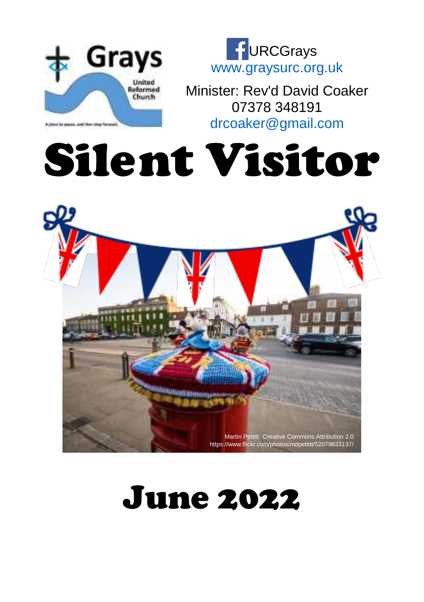



Minister: Rev'd David Coaker 07378 348191 [drcoaker@gmail.com](mailto:drcoaker@gmail.com)

# Silent Visitor



## June 2022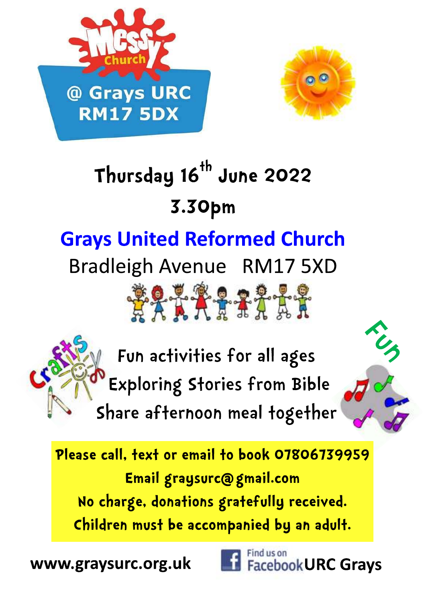



# Thursday 16<sup>th</sup> June 2022 3.30pm

## **Grays United Reformed Church**

Bradleigh Avenue RM17 5XD

Fun activities for all ages Exploring Stories from Bible Share afternoon meal together

**\$27727777** 

Please call, text or email to book 07806739959 Email graysurc@gmail.com No charge, donations gratefully received. Children must be accompanied by an adult.

www.graysurc.org.uk

Find us on **Facebook URC Grays**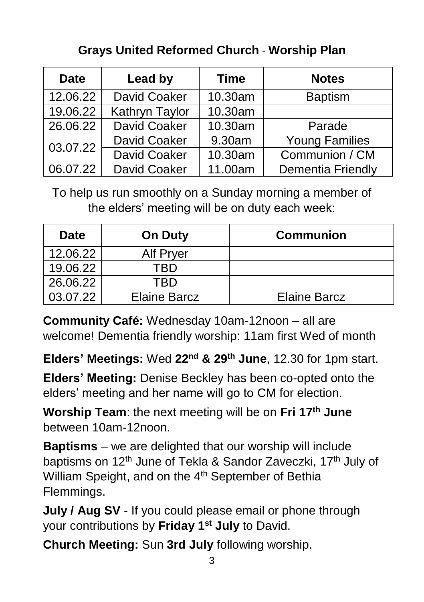#### **Grays United Reformed Church** - **Worship Plan**

| <b>Date</b> | Lead by             | <b>Time</b> | <b>Notes</b>             |
|-------------|---------------------|-------------|--------------------------|
| 12.06.22    | David Coaker        | 10.30am     | <b>Baptism</b>           |
| 19.06.22    | Kathryn Taylor      | 10.30am     |                          |
| 26.06.22    | David Coaker        | 10.30am     | Parade                   |
| 03.07.22    | David Coaker        | 9.30am      | <b>Young Families</b>    |
|             | David Coaker        | 10.30am     | Communion / CM           |
| 06.07.22    | <b>David Coaker</b> | 11.00am     | <b>Dementia Friendly</b> |

To help us run smoothly on a Sunday morning a member of the elders' meeting will be on duty each week:

| <b>Date</b> | <b>On Duty</b>      | <b>Communion</b>    |
|-------------|---------------------|---------------------|
| 12.06.22    | Alf Pryer           |                     |
| 19.06.22    |                     |                     |
| 26.06.22    | TBD.                |                     |
| 03.07.22    | <b>Elaine Barcz</b> | <b>Elaine Barcz</b> |

**Community Café:** Wednesday 10am-12noon – all are welcome! Dementia friendly worship: 11am first Wed of month

**Elders' Meetings:** Wed **22nd & 29th June**, 12.30 for 1pm start.

**Elders' Meeting:** Denise Beckley has been co-opted onto the elders' meeting and her name will go to CM for election.

**Worship Team**: the next meeting will be on **Fri 17th June** between 10am-12noon.

**Baptisms** – we are delighted that our worship will include baptisms on 12<sup>th</sup> June of Tekla & Sandor Zaveczki, 17<sup>th</sup> July of William Speight, and on the 4<sup>th</sup> September of Bethia Flemmings.

**July / Aug SV** - If you could please email or phone through your contributions by **Friday 1st July** to David.

**Church Meeting:** Sun **3rd July** following worship.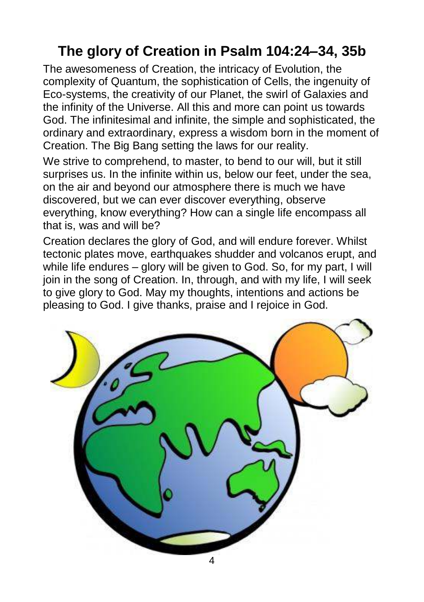#### **The glory of Creation in Psalm 104:24–34, 35b**

The awesomeness of Creation, the intricacy of Evolution, the complexity of Quantum, the sophistication of Cells, the ingenuity of Eco-systems, the creativity of our Planet, the swirl of Galaxies and the infinity of the Universe. All this and more can point us towards God. The infinitesimal and infinite, the simple and sophisticated, the ordinary and extraordinary, express a wisdom born in the moment of Creation. The Big Bang setting the laws for our reality.

We strive to comprehend, to master, to bend to our will, but it still surprises us. In the infinite within us, below our feet, under the sea, on the air and beyond our atmosphere there is much we have discovered, but we can ever discover everything, observe everything, know everything? How can a single life encompass all that is, was and will be?

Creation declares the glory of God, and will endure forever. Whilst tectonic plates move, earthquakes shudder and volcanos erupt, and while life endures – glory will be given to God. So, for my part, I will join in the song of Creation. In, through, and with my life, I will seek to give glory to God. May my thoughts, intentions and actions be pleasing to God. I give thanks, praise and I rejoice in God.

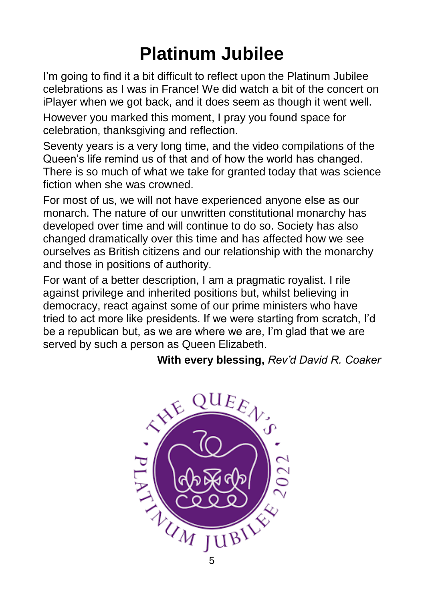## **Platinum Jubilee**

I'm going to find it a bit difficult to reflect upon the Platinum Jubilee celebrations as I was in France! We did watch a bit of the concert on iPlayer when we got back, and it does seem as though it went well.

However you marked this moment, I pray you found space for celebration, thanksgiving and reflection.

Seventy years is a very long time, and the video compilations of the Queen's life remind us of that and of how the world has changed. There is so much of what we take for granted today that was science fiction when she was crowned.

For most of us, we will not have experienced anyone else as our monarch. The nature of our unwritten constitutional monarchy has developed over time and will continue to do so. Society has also changed dramatically over this time and has affected how we see ourselves as British citizens and our relationship with the monarchy and those in positions of authority.

For want of a better description, I am a pragmatic royalist. I rile against privilege and inherited positions but, whilst believing in democracy, react against some of our prime ministers who have tried to act more like presidents. If we were starting from scratch, I'd be a republican but, as we are where we are, I'm glad that we are served by such a person as Queen Elizabeth.

#### **With every blessing,** *Rev'd David R. Coaker*

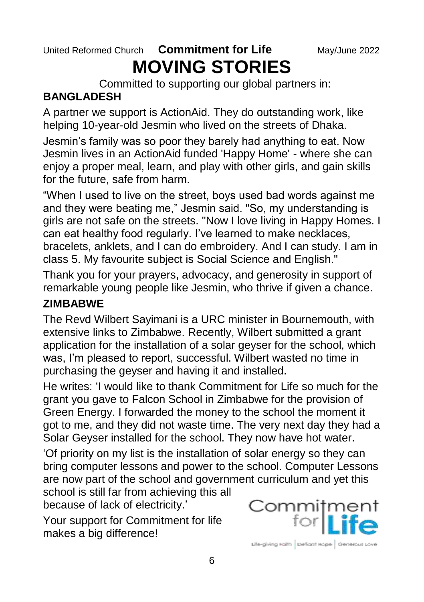#### United Reformed Church **Commitment for Life** May/June 2022 **MOVING STORIES**

Committed to supporting our global partners in:

#### **BANGLADESH**

A partner we support is ActionAid. They do outstanding work, like helping 10-year-old Jesmin who lived on the streets of Dhaka.

Jesmin's family was so poor they barely had anything to eat. Now Jesmin lives in an ActionAid funded 'Happy Home' - where she can enjoy a proper meal, learn, and play with other girls, and gain skills for the future, safe from harm.

"When I used to live on the street, boys used bad words against me and they were beating me," Jesmin said. "So, my understanding is girls are not safe on the streets. "Now I love living in Happy Homes. I can eat healthy food regularly. I've learned to make necklaces, bracelets, anklets, and I can do embroidery. And I can study. I am in class 5. My favourite subject is Social Science and English."

Thank you for your prayers, advocacy, and generosity in support of remarkable young people like Jesmin, who thrive if given a chance.

#### **ZIMBABWE**

The Revd Wilbert Sayimani is a URC minister in Bournemouth, with extensive links to Zimbabwe. Recently, Wilbert submitted a grant application for the installation of a solar geyser for the school, which was, I'm pleased to report, successful. Wilbert wasted no time in purchasing the geyser and having it and installed.

He writes: 'I would like to thank Commitment for Life so much for the grant you gave to Falcon School in Zimbabwe for the provision of Green Energy. I forwarded the money to the school the moment it got to me, and they did not waste time. The very next day they had a Solar Geyser installed for the school. They now have hot water.

'Of priority on my list is the installation of solar energy so they can bring computer lessons and power to the school. Computer Lessons are now part of the school and government curriculum and yet this

school is still far from achieving this all because of lack of electricity.'

Your support for Commitment for life makes a big difference!

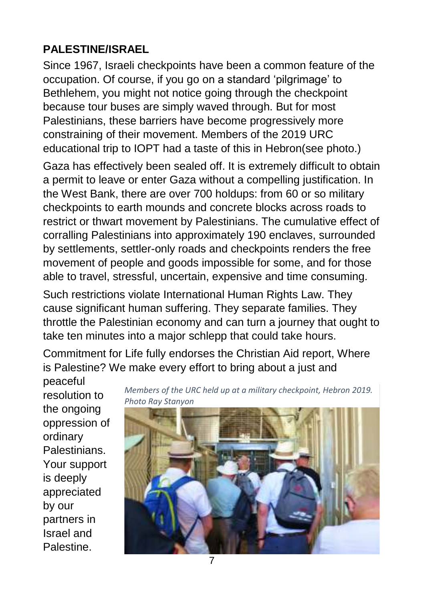#### **PALESTINE/ISRAEL**

Since 1967, Israeli checkpoints have been a common feature of the occupation. Of course, if you go on a standard 'pilgrimage' to Bethlehem, you might not notice going through the checkpoint because tour buses are simply waved through. But for most Palestinians, these barriers have become progressively more constraining of their movement. Members of the 2019 URC educational trip to IOPT had a taste of this in Hebron(see photo.)

Gaza has effectively been sealed off. It is extremely difficult to obtain a permit to leave or enter Gaza without a compelling justification. In the West Bank, there are over 700 holdups: from 60 or so military checkpoints to earth mounds and concrete blocks across roads to restrict or thwart movement by Palestinians. The cumulative effect of corralling Palestinians into approximately 190 enclaves, surrounded by settlements, settler-only roads and checkpoints renders the free movement of people and goods impossible for some, and for those able to travel, stressful, uncertain, expensive and time consuming.

Such restrictions violate International Human Rights Law. They cause significant human suffering. They separate families. They throttle the Palestinian economy and can turn a journey that ought to take ten minutes into a major schlepp that could take hours.

Commitment for Life fully endorses the Christian Aid report, Where is Palestine? We make every effort to bring about a just and

peaceful resolution to the ongoing oppression of ordinary Palestinians. Your support is deeply appreciated by our partners in Israel and Palestine.

*Members of the URC held up at a military checkpoint, Hebron 2019. Photo Ray Stanyon*

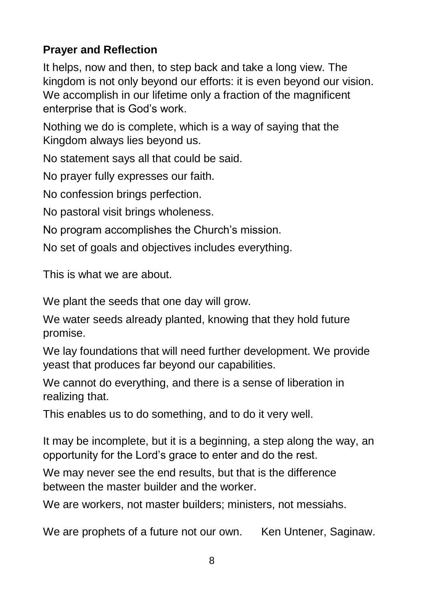#### **Prayer and Reflection**

It helps, now and then, to step back and take a long view. The kingdom is not only beyond our efforts: it is even beyond our vision. We accomplish in our lifetime only a fraction of the magnificent enterprise that is God's work.

Nothing we do is complete, which is a way of saying that the Kingdom always lies beyond us.

No statement says all that could be said.

No prayer fully expresses our faith.

No confession brings perfection.

No pastoral visit brings wholeness.

No program accomplishes the Church's mission.

No set of goals and objectives includes everything.

This is what we are about.

We plant the seeds that one day will grow.

We water seeds already planted, knowing that they hold future promise.

We lay foundations that will need further development. We provide yeast that produces far beyond our capabilities.

We cannot do everything, and there is a sense of liberation in realizing that.

This enables us to do something, and to do it very well.

It may be incomplete, but it is a beginning, a step along the way, an opportunity for the Lord's grace to enter and do the rest.

We may never see the end results, but that is the difference between the master builder and the worker.

We are workers, not master builders; ministers, not messiahs.

We are prophets of a future not our own. Ken Untener, Saginaw.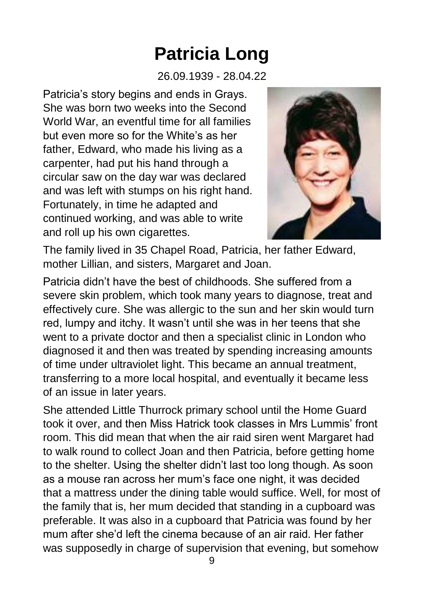## **Patricia Long**

26.09.1939 - 28.04.22

Patricia's story begins and ends in Grays. She was born two weeks into the Second World War, an eventful time for all families but even more so for the White's as her father, Edward, who made his living as a carpenter, had put his hand through a circular saw on the day war was declared and was left with stumps on his right hand. Fortunately, in time he adapted and continued working, and was able to write and roll up his own cigarettes.



The family lived in 35 Chapel Road, Patricia, her father Edward, mother Lillian, and sisters, Margaret and Joan.

Patricia didn't have the best of childhoods. She suffered from a severe skin problem, which took many years to diagnose, treat and effectively cure. She was allergic to the sun and her skin would turn red, lumpy and itchy. It wasn't until she was in her teens that she went to a private doctor and then a specialist clinic in London who diagnosed it and then was treated by spending increasing amounts of time under ultraviolet light. This became an annual treatment, transferring to a more local hospital, and eventually it became less of an issue in later years.

She attended Little Thurrock primary school until the Home Guard took it over, and then Miss Hatrick took classes in Mrs Lummis' front room. This did mean that when the air raid siren went Margaret had to walk round to collect Joan and then Patricia, before getting home to the shelter. Using the shelter didn't last too long though. As soon as a mouse ran across her mum's face one night, it was decided that a mattress under the dining table would suffice. Well, for most of the family that is, her mum decided that standing in a cupboard was preferable. It was also in a cupboard that Patricia was found by her mum after she'd left the cinema because of an air raid. Her father was supposedly in charge of supervision that evening, but somehow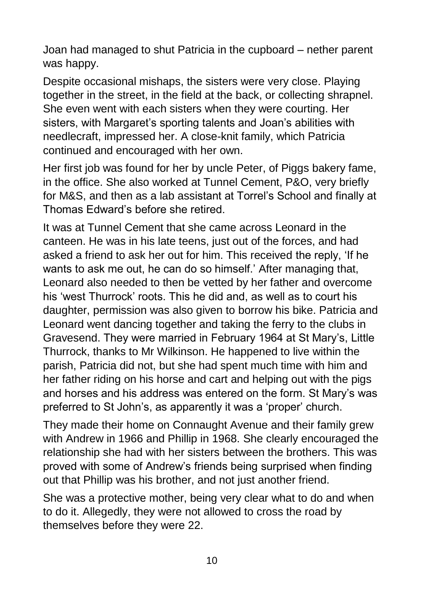Joan had managed to shut Patricia in the cupboard – nether parent was happy.

Despite occasional mishaps, the sisters were very close. Playing together in the street, in the field at the back, or collecting shrapnel. She even went with each sisters when they were courting. Her sisters, with Margaret's sporting talents and Joan's abilities with needlecraft, impressed her. A close-knit family, which Patricia continued and encouraged with her own.

Her first job was found for her by uncle Peter, of Piggs bakery fame, in the office. She also worked at Tunnel Cement, P&O, very briefly for M&S, and then as a lab assistant at Torrel's School and finally at Thomas Edward's before she retired.

It was at Tunnel Cement that she came across Leonard in the canteen. He was in his late teens, just out of the forces, and had asked a friend to ask her out for him. This received the reply, 'If he wants to ask me out, he can do so himself.' After managing that, Leonard also needed to then be vetted by her father and overcome his 'west Thurrock' roots. This he did and, as well as to court his daughter, permission was also given to borrow his bike. Patricia and Leonard went dancing together and taking the ferry to the clubs in Gravesend. They were married in February 1964 at St Mary's, Little Thurrock, thanks to Mr Wilkinson. He happened to live within the parish, Patricia did not, but she had spent much time with him and her father riding on his horse and cart and helping out with the pigs and horses and his address was entered on the form. St Mary's was preferred to St John's, as apparently it was a 'proper' church.

They made their home on Connaught Avenue and their family grew with Andrew in 1966 and Phillip in 1968. She clearly encouraged the relationship she had with her sisters between the brothers. This was proved with some of Andrew's friends being surprised when finding out that Phillip was his brother, and not just another friend.

She was a protective mother, being very clear what to do and when to do it. Allegedly, they were not allowed to cross the road by themselves before they were 22.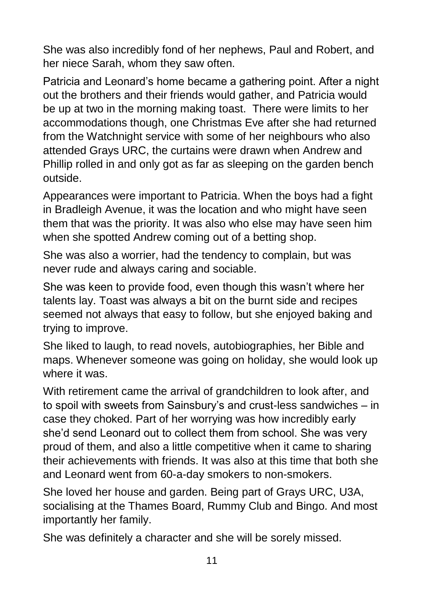She was also incredibly fond of her nephews, Paul and Robert, and her niece Sarah, whom they saw often.

Patricia and Leonard's home became a gathering point. After a night out the brothers and their friends would gather, and Patricia would be up at two in the morning making toast. There were limits to her accommodations though, one Christmas Eve after she had returned from the Watchnight service with some of her neighbours who also attended Grays URC, the curtains were drawn when Andrew and Phillip rolled in and only got as far as sleeping on the garden bench outside.

Appearances were important to Patricia. When the boys had a fight in Bradleigh Avenue, it was the location and who might have seen them that was the priority. It was also who else may have seen him when she spotted Andrew coming out of a betting shop.

She was also a worrier, had the tendency to complain, but was never rude and always caring and sociable.

She was keen to provide food, even though this wasn't where her talents lay. Toast was always a bit on the burnt side and recipes seemed not always that easy to follow, but she enjoyed baking and trying to improve.

She liked to laugh, to read novels, autobiographies, her Bible and maps. Whenever someone was going on holiday, she would look up where it was.

With retirement came the arrival of grandchildren to look after, and to spoil with sweets from Sainsbury's and crust-less sandwiches – in case they choked. Part of her worrying was how incredibly early she'd send Leonard out to collect them from school. She was very proud of them, and also a little competitive when it came to sharing their achievements with friends. It was also at this time that both she and Leonard went from 60-a-day smokers to non-smokers.

She loved her house and garden. Being part of Grays URC, U3A, socialising at the Thames Board, Rummy Club and Bingo. And most importantly her family.

She was definitely a character and she will be sorely missed.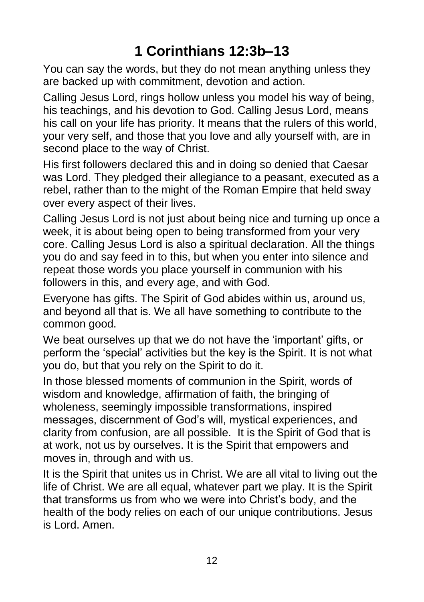#### **1 Corinthians 12:3b–13**

You can say the words, but they do not mean anything unless they are backed up with commitment, devotion and action.

Calling Jesus Lord, rings hollow unless you model his way of being, his teachings, and his devotion to God. Calling Jesus Lord, means his call on your life has priority. It means that the rulers of this world, your very self, and those that you love and ally yourself with, are in second place to the way of Christ.

His first followers declared this and in doing so denied that Caesar was Lord. They pledged their allegiance to a peasant, executed as a rebel, rather than to the might of the Roman Empire that held sway over every aspect of their lives.

Calling Jesus Lord is not just about being nice and turning up once a week, it is about being open to being transformed from your very core. Calling Jesus Lord is also a spiritual declaration. All the things you do and say feed in to this, but when you enter into silence and repeat those words you place yourself in communion with his followers in this, and every age, and with God.

Everyone has gifts. The Spirit of God abides within us, around us, and beyond all that is. We all have something to contribute to the common good.

We beat ourselves up that we do not have the 'important' gifts, or perform the 'special' activities but the key is the Spirit. It is not what you do, but that you rely on the Spirit to do it.

In those blessed moments of communion in the Spirit, words of wisdom and knowledge, affirmation of faith, the bringing of wholeness, seemingly impossible transformations, inspired messages, discernment of God's will, mystical experiences, and clarity from confusion, are all possible. It is the Spirit of God that is at work, not us by ourselves. It is the Spirit that empowers and moves in, through and with us.

It is the Spirit that unites us in Christ. We are all vital to living out the life of Christ. We are all equal, whatever part we play. It is the Spirit that transforms us from who we were into Christ's body, and the health of the body relies on each of our unique contributions. Jesus is Lord. Amen.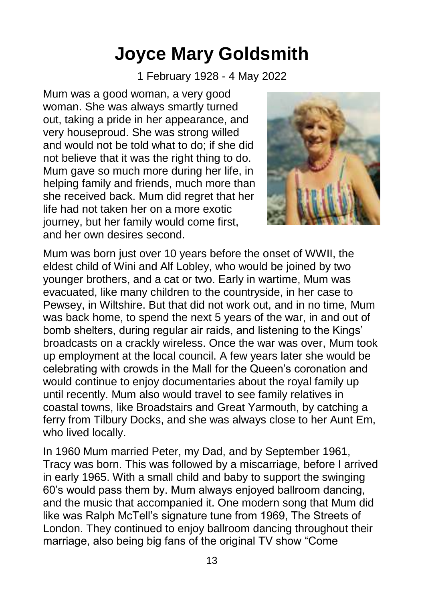### **Joyce Mary Goldsmith**

1 February 1928 - 4 May 2022

Mum was a good woman, a very good woman. She was always smartly turned out, taking a pride in her appearance, and very houseproud. She was strong willed and would not be told what to do; if she did not believe that it was the right thing to do. Mum gave so much more during her life, in helping family and friends, much more than she received back. Mum did regret that her life had not taken her on a more exotic journey, but her family would come first, and her own desires second.



Mum was born just over 10 years before the onset of WWII, the eldest child of Wini and Alf Lobley, who would be joined by two younger brothers, and a cat or two. Early in wartime, Mum was evacuated, like many children to the countryside, in her case to Pewsey, in Wiltshire. But that did not work out, and in no time, Mum was back home, to spend the next 5 years of the war, in and out of bomb shelters, during regular air raids, and listening to the Kings' broadcasts on a crackly wireless. Once the war was over, Mum took up employment at the local council. A few years later she would be celebrating with crowds in the Mall for the Queen's coronation and would continue to enjoy documentaries about the royal family up until recently. Mum also would travel to see family relatives in coastal towns, like Broadstairs and Great Yarmouth, by catching a ferry from Tilbury Docks, and she was always close to her Aunt Em, who lived locally.

In 1960 Mum married Peter, my Dad, and by September 1961, Tracy was born. This was followed by a miscarriage, before I arrived in early 1965. With a small child and baby to support the swinging 60's would pass them by. Mum always enjoyed ballroom dancing, and the music that accompanied it. One modern song that Mum did like was Ralph McTell's signature tune from 1969, The Streets of London. They continued to enjoy ballroom dancing throughout their marriage, also being big fans of the original TV show "Come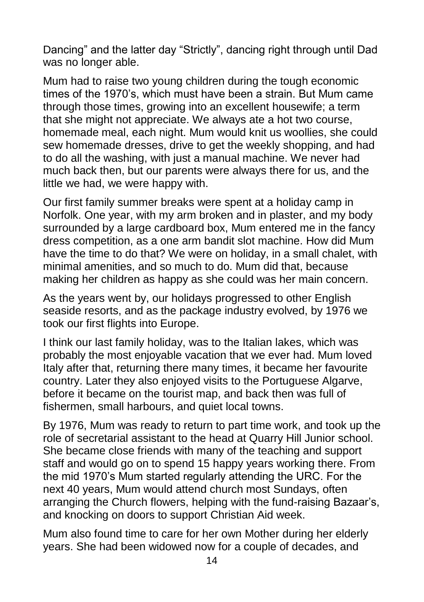Dancing" and the latter day "Strictly", dancing right through until Dad was no longer able.

Mum had to raise two young children during the tough economic times of the 1970's, which must have been a strain. But Mum came through those times, growing into an excellent housewife; a term that she might not appreciate. We always ate a hot two course, homemade meal, each night. Mum would knit us woollies, she could sew homemade dresses, drive to get the weekly shopping, and had to do all the washing, with just a manual machine. We never had much back then, but our parents were always there for us, and the little we had, we were happy with.

Our first family summer breaks were spent at a holiday camp in Norfolk. One year, with my arm broken and in plaster, and my body surrounded by a large cardboard box, Mum entered me in the fancy dress competition, as a one arm bandit slot machine. How did Mum have the time to do that? We were on holiday, in a small chalet, with minimal amenities, and so much to do. Mum did that, because making her children as happy as she could was her main concern.

As the years went by, our holidays progressed to other English seaside resorts, and as the package industry evolved, by 1976 we took our first flights into Europe.

I think our last family holiday, was to the Italian lakes, which was probably the most enjoyable vacation that we ever had. Mum loved Italy after that, returning there many times, it became her favourite country. Later they also enjoyed visits to the Portuguese Algarve, before it became on the tourist map, and back then was full of fishermen, small harbours, and quiet local towns.

By 1976, Mum was ready to return to part time work, and took up the role of secretarial assistant to the head at Quarry Hill Junior school. She became close friends with many of the teaching and support staff and would go on to spend 15 happy years working there. From the mid 1970's Mum started regularly attending the URC. For the next 40 years, Mum would attend church most Sundays, often arranging the Church flowers, helping with the fund-raising Bazaar's, and knocking on doors to support Christian Aid week.

Mum also found time to care for her own Mother during her elderly years. She had been widowed now for a couple of decades, and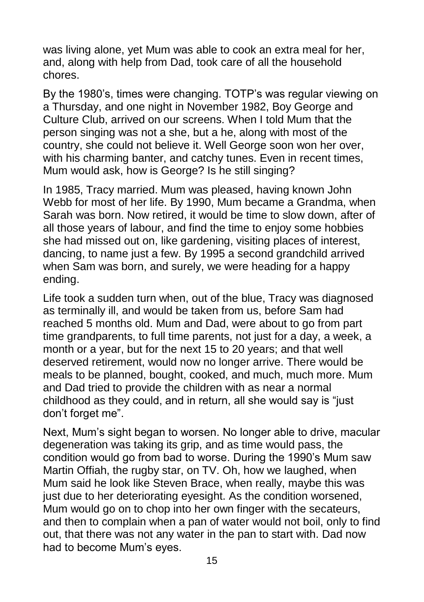was living alone, yet Mum was able to cook an extra meal for her, and, along with help from Dad, took care of all the household chores.

By the 1980's, times were changing. TOTP's was regular viewing on a Thursday, and one night in November 1982, Boy George and Culture Club, arrived on our screens. When I told Mum that the person singing was not a she, but a he, along with most of the country, she could not believe it. Well George soon won her over, with his charming banter, and catchy tunes. Even in recent times, Mum would ask, how is George? Is he still singing?

In 1985, Tracy married. Mum was pleased, having known John Webb for most of her life. By 1990, Mum became a Grandma, when Sarah was born. Now retired, it would be time to slow down, after of all those years of labour, and find the time to enjoy some hobbies she had missed out on, like gardening, visiting places of interest, dancing, to name just a few. By 1995 a second grandchild arrived when Sam was born, and surely, we were heading for a happy ending.

Life took a sudden turn when, out of the blue, Tracy was diagnosed as terminally ill, and would be taken from us, before Sam had reached 5 months old. Mum and Dad, were about to go from part time grandparents, to full time parents, not just for a day, a week, a month or a year, but for the next 15 to 20 years; and that well deserved retirement, would now no longer arrive. There would be meals to be planned, bought, cooked, and much, much more. Mum and Dad tried to provide the children with as near a normal childhood as they could, and in return, all she would say is "just don't forget me".

Next, Mum's sight began to worsen. No longer able to drive, macular degeneration was taking its grip, and as time would pass, the condition would go from bad to worse. During the 1990's Mum saw Martin Offiah, the rugby star, on TV. Oh, how we laughed, when Mum said he look like Steven Brace, when really, maybe this was just due to her deteriorating eyesight. As the condition worsened, Mum would go on to chop into her own finger with the secateurs, and then to complain when a pan of water would not boil, only to find out, that there was not any water in the pan to start with. Dad now had to become Mum's eyes.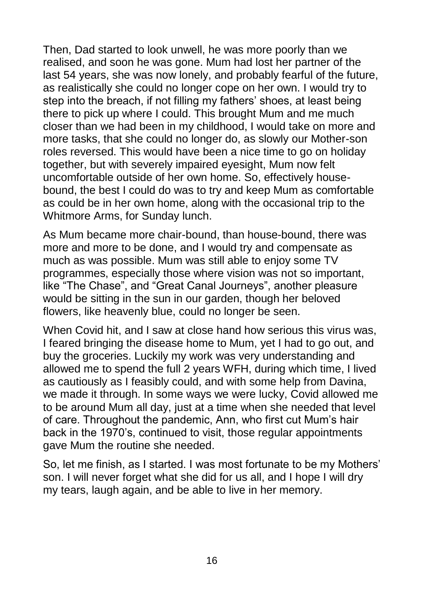Then, Dad started to look unwell, he was more poorly than we realised, and soon he was gone. Mum had lost her partner of the last 54 years, she was now lonely, and probably fearful of the future, as realistically she could no longer cope on her own. I would try to step into the breach, if not filling my fathers' shoes, at least being there to pick up where I could. This brought Mum and me much closer than we had been in my childhood, I would take on more and more tasks, that she could no longer do, as slowly our Mother-son roles reversed. This would have been a nice time to go on holiday together, but with severely impaired eyesight, Mum now felt uncomfortable outside of her own home. So, effectively housebound, the best I could do was to try and keep Mum as comfortable as could be in her own home, along with the occasional trip to the Whitmore Arms, for Sunday lunch.

As Mum became more chair-bound, than house-bound, there was more and more to be done, and I would try and compensate as much as was possible. Mum was still able to enjoy some TV programmes, especially those where vision was not so important, like "The Chase", and "Great Canal Journeys", another pleasure would be sitting in the sun in our garden, though her beloved flowers, like heavenly blue, could no longer be seen.

When Covid hit, and I saw at close hand how serious this virus was, I feared bringing the disease home to Mum, yet I had to go out, and buy the groceries. Luckily my work was very understanding and allowed me to spend the full 2 years WFH, during which time, I lived as cautiously as I feasibly could, and with some help from Davina, we made it through. In some ways we were lucky, Covid allowed me to be around Mum all day, just at a time when she needed that level of care. Throughout the pandemic, Ann, who first cut Mum's hair back in the 1970's, continued to visit, those regular appointments gave Mum the routine she needed.

So, let me finish, as I started. I was most fortunate to be my Mothers' son. I will never forget what she did for us all, and I hope I will dry my tears, laugh again, and be able to live in her memory.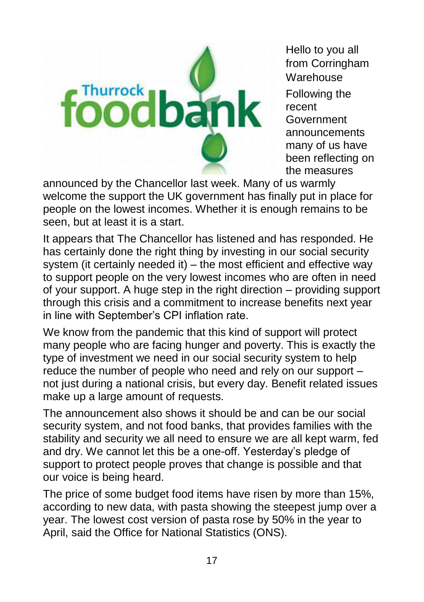

Hello to you all from Corringham **Warehouse** Following the recent Government announcements many of us have been reflecting on the measures

announced by the Chancellor last week. Many of us warmly welcome the support the UK government has finally put in place for people on the lowest incomes. Whether it is enough remains to be seen, but at least it is a start.

It appears that The Chancellor has listened and has responded. He has certainly done the right thing by investing in our social security system (it certainly needed it) – the most efficient and effective way to support people on the very lowest incomes who are often in need of your support. A huge step in the right direction – providing support through this crisis and a commitment to increase benefits next year in line with September's CPI inflation rate.

We know from the pandemic that this kind of support will protect many people who are facing hunger and poverty. This is exactly the type of investment we need in our social security system to help reduce the number of people who need and rely on our support – not just during a national crisis, but every day. Benefit related issues make up a large amount of requests.

The announcement also shows it should be and can be our social security system, and not food banks, that provides families with the stability and security we all need to ensure we are all kept warm, fed and dry. We cannot let this be a one-off. Yesterday's pledge of support to protect people proves that change is possible and that our voice is being heard.

The price of some budget food items have risen by more than 15%, according to new data, with pasta showing the steepest jump over a year. The lowest cost version of pasta rose by 50% in the year to April, said the Office for National Statistics (ONS).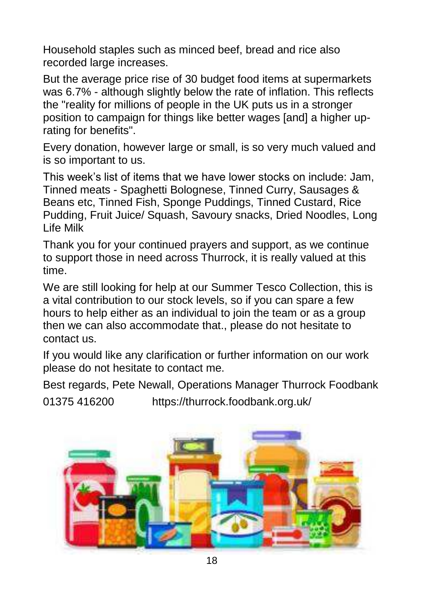Household staples such as minced beef, bread and rice also recorded large increases.

But the average price rise of 30 budget food items at supermarkets was 6.7% - although slightly below the rate of inflation. This reflects the "reality for millions of people in the UK puts us in a stronger position to campaign for things like better wages [and] a higher uprating for benefits".

Every donation, however large or small, is so very much valued and is so important to us.

This week's list of items that we have lower stocks on include: Jam, Tinned meats - Spaghetti Bolognese, Tinned Curry, Sausages & Beans etc, Tinned Fish, Sponge Puddings, Tinned Custard, Rice Pudding, Fruit Juice/ Squash, Savoury snacks, Dried Noodles, Long Life Milk

Thank you for your continued prayers and support, as we continue to support those in need across Thurrock, it is really valued at this time.

We are still looking for help at our Summer Tesco Collection, this is a vital contribution to our stock levels, so if you can spare a few hours to help either as an individual to join the team or as a group then we can also accommodate that., please do not hesitate to contact us.

If you would like any clarification or further information on our work please do not hesitate to contact me.

Best regards, Pete Newall, Operations Manager Thurrock Foodbank

01375 416200 https://thurrock.foodbank.org.uk/

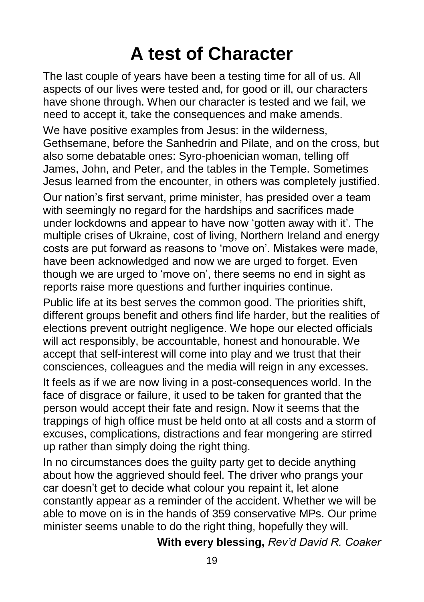## **A test of Character**

The last couple of years have been a testing time for all of us. All aspects of our lives were tested and, for good or ill, our characters have shone through. When our character is tested and we fail, we need to accept it, take the consequences and make amends.

We have positive examples from Jesus: in the wilderness, Gethsemane, before the Sanhedrin and Pilate, and on the cross, but also some debatable ones: Syro-phoenician woman, telling off James, John, and Peter, and the tables in the Temple. Sometimes Jesus learned from the encounter, in others was completely justified.

Our nation's first servant, prime minister, has presided over a team with seemingly no regard for the hardships and sacrifices made under lockdowns and appear to have now 'gotten away with it'. The multiple crises of Ukraine, cost of living, Northern Ireland and energy costs are put forward as reasons to 'move on'. Mistakes were made, have been acknowledged and now we are urged to forget. Even though we are urged to 'move on', there seems no end in sight as reports raise more questions and further inquiries continue.

Public life at its best serves the common good. The priorities shift, different groups benefit and others find life harder, but the realities of elections prevent outright negligence. We hope our elected officials will act responsibly, be accountable, honest and honourable. We accept that self-interest will come into play and we trust that their consciences, colleagues and the media will reign in any excesses.

It feels as if we are now living in a post-consequences world. In the face of disgrace or failure, it used to be taken for granted that the person would accept their fate and resign. Now it seems that the trappings of high office must be held onto at all costs and a storm of excuses, complications, distractions and fear mongering are stirred up rather than simply doing the right thing.

In no circumstances does the guilty party get to decide anything about how the aggrieved should feel. The driver who prangs your car doesn't get to decide what colour you repaint it, let alone constantly appear as a reminder of the accident. Whether we will be able to move on is in the hands of 359 conservative MPs. Our prime minister seems unable to do the right thing, hopefully they will.

**With every blessing,** *Rev'd David R. Coaker*